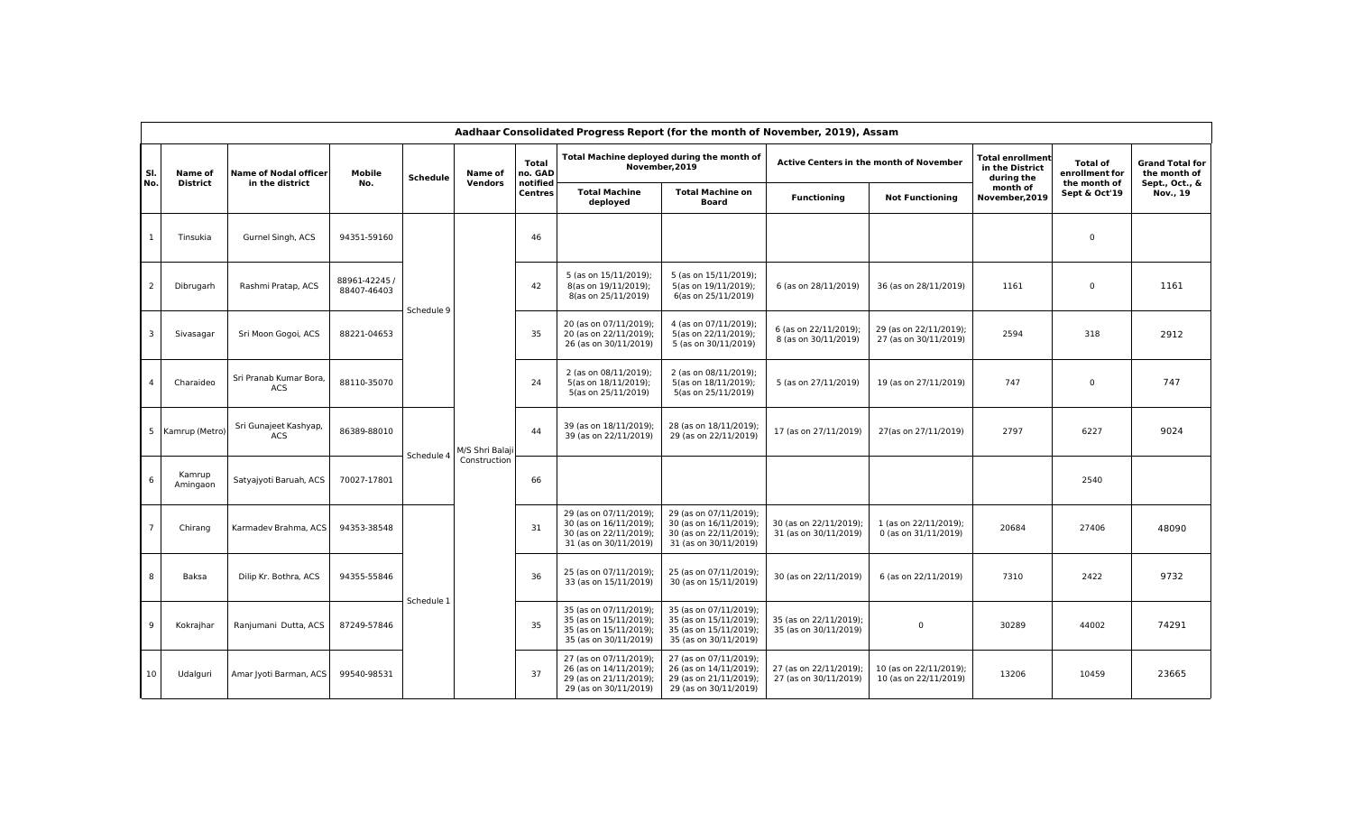| Aadhaar Consolidated Progress Report (for the month of November, 2019), Assam |                    |                                      |                              |                 |                 |                            |                                                                                                     |                                                                                                     |                                                 |                                                 |                                                          |                                   |                                        |
|-------------------------------------------------------------------------------|--------------------|--------------------------------------|------------------------------|-----------------|-----------------|----------------------------|-----------------------------------------------------------------------------------------------------|-----------------------------------------------------------------------------------------------------|-------------------------------------------------|-------------------------------------------------|----------------------------------------------------------|-----------------------------------|----------------------------------------|
| SI.                                                                           | Name of            | <b>Name of Nodal officer</b>         | Mobile<br>No.                | <b>Schedule</b> | Name of         | <b>Total</b><br>no. GAD    | Total Machine deployed during the month of<br>November.2019                                         |                                                                                                     | Active Centers in the month of November         |                                                 | <b>Total enrollment</b><br>in the District<br>during the | <b>Total of</b><br>enrollment for | <b>Grand Total for</b><br>the month of |
| No.                                                                           | District           | in the district                      |                              |                 | Vendors         | notified<br><b>Centres</b> | <b>Total Machine</b><br>deployed                                                                    | <b>Total Machine on</b><br><b>Board</b>                                                             | <b>Functioning</b>                              | <b>Not Functioning</b>                          | month of<br>November, 2019                               | the month of<br>Sept & Oct'19     | Sept., Oct., &<br>Nov., 19             |
|                                                                               | Tinsukia           | Gurnel Singh, ACS                    | 94351-59160                  |                 | M/S Shri Balaji | 46                         |                                                                                                     |                                                                                                     |                                                 |                                                 |                                                          | $\Omega$                          |                                        |
| $\overline{2}$                                                                | Dibrugarh          | Rashmi Pratap, ACS                   | 88961-42245 /<br>88407-46403 | Schedule 9      |                 | 42                         | 5 (as on 15/11/2019);<br>8(as on 19/11/2019);<br>8(as on 25/11/2019)                                | 5 (as on 15/11/2019);<br>5(as on 19/11/2019);<br>6(as on 25/11/2019)                                | 6 (as on 28/11/2019)                            | 36 (as on 28/11/2019)                           | 1161                                                     | $\Omega$                          | 1161                                   |
| -3                                                                            | Sivasagar          | Sri Moon Gogoi, ACS                  | 88221-04653                  |                 |                 | 35                         | 20 (as on 07/11/2019);<br>20 (as on 22/11/2019);<br>26 (as on 30/11/2019)                           | 4 (as on 07/11/2019);<br>5(as on 22/11/2019);<br>5 (as on 30/11/2019)                               | 6 (as on 22/11/2019);<br>8 (as on 30/11/2019)   | 29 (as on 22/11/2019);<br>27 (as on 30/11/2019) | 2594                                                     | 318                               | 2912                                   |
| $\overline{4}$                                                                | Charaideo          | Sri Pranab Kumar Bora,<br><b>ACS</b> | 88110-35070                  |                 |                 | 24                         | 2 (as on 08/11/2019);<br>5(as on 18/11/2019);<br>5(as on 25/11/2019)                                | 2 (as on 08/11/2019);<br>5(as on 18/11/2019);<br>5(as on 25/11/2019)                                | 5 (as on 27/11/2019)                            | 19 (as on 27/11/2019)                           | 747                                                      | $\Omega$                          | 747                                    |
| 5                                                                             | Kamrup (Metro      | Sri Gunajeet Kashyap,<br><b>ACS</b>  | 86389-88010                  |                 |                 | 44                         | 39 (as on 18/11/2019);<br>39 (as on 22/11/2019)                                                     | 28 (as on 18/11/2019);<br>29 (as on 22/11/2019)                                                     | 17 (as on 27/11/2019)                           | 27(as on 27/11/2019)                            | 2797                                                     | 6227                              | 9024                                   |
|                                                                               | Kamrup<br>Amingaon | Satyajyoti Baruah, ACS               | 70027-17801                  | Schedule 4      | Construction    | 66                         |                                                                                                     |                                                                                                     |                                                 |                                                 |                                                          | 2540                              |                                        |
|                                                                               | Chirang            | Karmadev Brahma, ACS                 | 94353-38548                  |                 |                 | 31                         | 29 (as on 07/11/2019);<br>30 (as on 16/11/2019);<br>30 (as on 22/11/2019);<br>31 (as on 30/11/2019) | 29 (as on 07/11/2019);<br>30 (as on 16/11/2019);<br>30 (as on 22/11/2019);<br>31 (as on 30/11/2019) | 30 (as on 22/11/2019);<br>31 (as on 30/11/2019) | 1 (as on 22/11/2019);<br>0 (as on 31/11/2019)   | 20684                                                    | 27406                             | 48090                                  |
| 8                                                                             | Baksa              | Dilip Kr. Bothra, ACS                | 94355-55846                  |                 |                 | 36                         | 25 (as on 07/11/2019);<br>33 (as on 15/11/2019)                                                     | 25 (as on 07/11/2019);<br>30 (as on 15/11/2019)                                                     | 30 (as on 22/11/2019)                           | 6 (as on 22/11/2019)                            | 7310                                                     | 2422                              | 9732                                   |
| -9                                                                            | Kokrajhar          | Ranjumani Dutta, ACS                 | 87249-57846                  | Schedule 1      |                 | 35                         | 35 (as on 07/11/2019);<br>35 (as on 15/11/2019);<br>35 (as on 15/11/2019);<br>35 (as on 30/11/2019) | 35 (as on 07/11/2019);<br>35 (as on 15/11/2019);<br>35 (as on 15/11/2019);<br>35 (as on 30/11/2019) | 35 (as on 22/11/2019);<br>35 (as on 30/11/2019) | $\mathbf 0$                                     | 30289                                                    | 44002                             | 74291                                  |
| 10                                                                            | Udalguri           | Amar Jyoti Barman, ACS               | 99540-98531                  |                 |                 | 37                         | 27 (as on 07/11/2019);<br>26 (as on 14/11/2019);<br>29 (as on 21/11/2019);<br>29 (as on 30/11/2019) | 27 (as on 07/11/2019);<br>26 (as on 14/11/2019);<br>29 (as on 21/11/2019);<br>29 (as on 30/11/2019) | 27 (as on 22/11/2019);<br>27 (as on 30/11/2019) | 10 (as on 22/11/2019);<br>10 (as on 22/11/2019) | 13206                                                    | 10459                             | 23665                                  |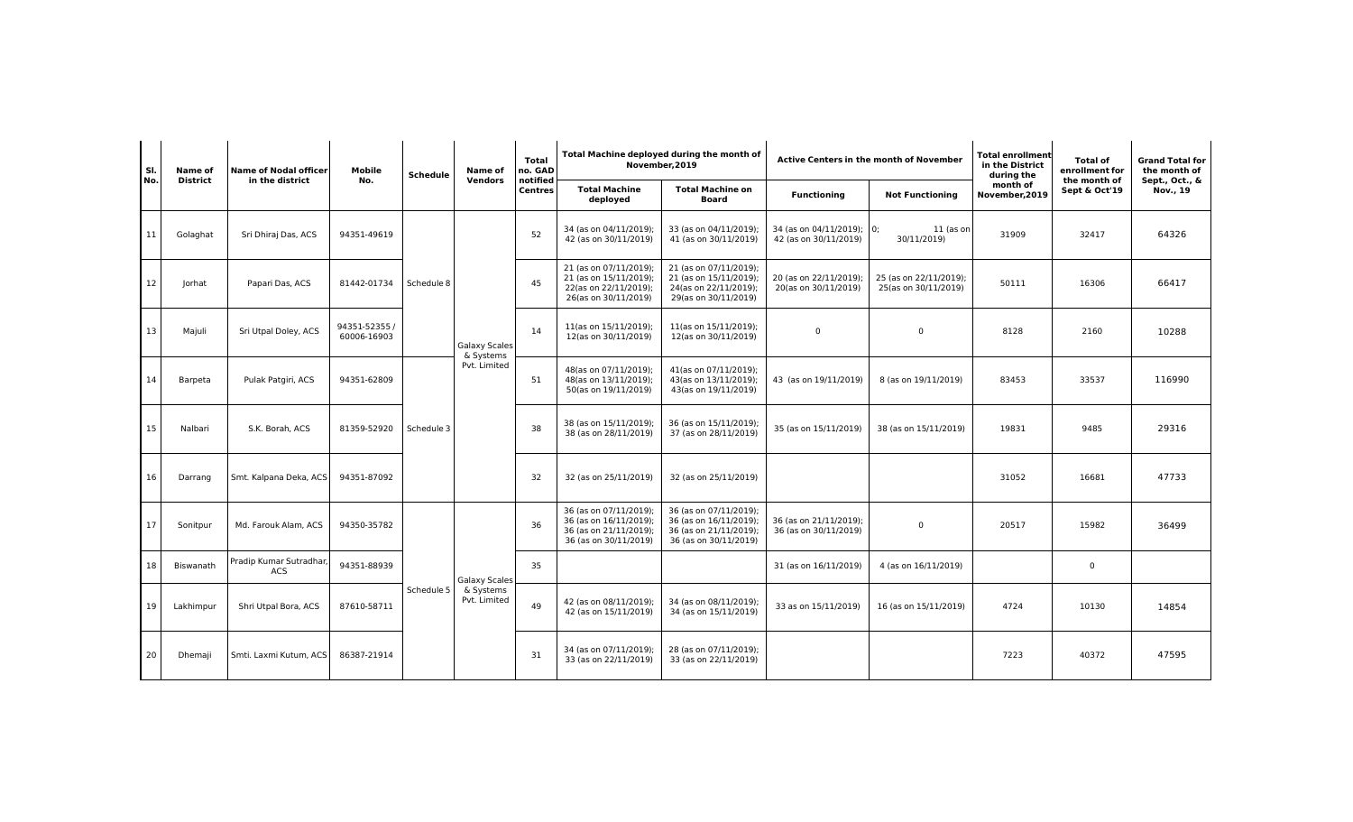| SI.<br>Name of  |           | <b>Name of Nodal officer</b><br>in the district | Mobile<br>No.                | <b>Schedule</b> | Name of<br>Vendors                | Total<br>no. GAD<br>notified<br><b>Centres</b> | Total Machine deployed during the month of<br>November, 2019                                        |                                                                                                     | Active Centers in the month of November            |                                                | <b>Total enrollment</b><br>in the District<br>during the | <b>Total of</b><br>enrollment for | <b>Grand Total for</b><br>the month of |
|-----------------|-----------|-------------------------------------------------|------------------------------|-----------------|-----------------------------------|------------------------------------------------|-----------------------------------------------------------------------------------------------------|-----------------------------------------------------------------------------------------------------|----------------------------------------------------|------------------------------------------------|----------------------------------------------------------|-----------------------------------|----------------------------------------|
| No.             | District  |                                                 |                              |                 |                                   |                                                | <b>Total Machine</b><br>deployed                                                                    | <b>Total Machine on</b><br><b>Board</b>                                                             | <b>Functioning</b>                                 | <b>Not Functioning</b>                         | month of<br>November, 2019                               | the month of<br>Sept & Oct'19     | Sept., Oct., &<br>Nov., 19             |
| 11              | Golaghat  | Sri Dhiraj Das, ACS                             | 94351-49619                  | Schedule 8      |                                   | 52                                             | 34 (as on 04/11/2019);<br>42 (as on 30/11/2019)                                                     | 33 (as on 04/11/2019);<br>41 (as on 30/11/2019)                                                     | 34 (as on 04/11/2019); 0;<br>42 (as on 30/11/2019) | 11 (as on<br>30/11/2019)                       | 31909                                                    | 32417                             | 64326                                  |
| 12              | Jorhat    | Papari Das, ACS                                 | 81442-01734                  |                 |                                   | 45                                             | 21 (as on 07/11/2019);<br>21 (as on 15/11/2019);<br>22(as on 22/11/2019);<br>26(as on 30/11/2019)   | 21 (as on 07/11/2019);<br>21 (as on 15/11/2019);<br>24(as on 22/11/2019);<br>29(as on 30/11/2019)   | 20 (as on 22/11/2019);<br>20(as on 30/11/2019)     | 25 (as on 22/11/2019);<br>25(as on 30/11/2019) | 50111                                                    | 16306                             | 66417                                  |
| 13              | Majuli    | Sri Utpal Doley, ACS                            | 94351-52355 /<br>60006-16903 |                 | <b>Galaxy Scales</b><br>& Systems | 14                                             | 11(as on 15/11/2019);<br>12(as on 30/11/2019)                                                       | 11(as on 15/11/2019);<br>12(as on 30/11/2019)                                                       | $\mathbf 0$                                        | $\mathbf 0$                                    | 8128                                                     | 2160                              | 10288                                  |
| 14              | Barpeta   | Pulak Patgiri, ACS                              | 94351-62809                  |                 | Pvt. Limited                      | 51                                             | 48(as on 07/11/2019);<br>48(as on 13/11/2019);<br>50(as on 19/11/2019)                              | 41(as on 07/11/2019);<br>43(as on 13/11/2019);<br>43(as on 19/11/2019)                              | 43 (as on 19/11/2019)                              | 8 (as on 19/11/2019)                           | 83453                                                    | 33537                             | 116990                                 |
| 15              | Nalbari   | S.K. Borah, ACS                                 | 81359-52920                  | Schedule 3      |                                   | 38                                             | 38 (as on 15/11/2019);<br>38 (as on 28/11/2019)                                                     | 36 (as on 15/11/2019);<br>37 (as on 28/11/2019)                                                     | 35 (as on 15/11/2019)                              | 38 (as on 15/11/2019)                          | 19831                                                    | 9485                              | 29316                                  |
| 16              | Darrang   | Smt. Kalpana Deka, ACS                          | 94351-87092                  |                 |                                   | 32                                             | 32 (as on 25/11/2019)                                                                               | 32 (as on 25/11/2019)                                                                               |                                                    |                                                | 31052                                                    | 16681                             | 47733                                  |
| 17              | Sonitpur  | Md. Farouk Alam, ACS                            | 94350-35782                  |                 |                                   | 36                                             | 36 (as on 07/11/2019);<br>36 (as on 16/11/2019);<br>36 (as on 21/11/2019);<br>36 (as on 30/11/2019) | 36 (as on 07/11/2019);<br>36 (as on 16/11/2019);<br>36 (as on 21/11/2019);<br>36 (as on 30/11/2019) | 36 (as on 21/11/2019);<br>36 (as on 30/11/2019)    | $\mathbf 0$                                    | 20517                                                    | 15982                             | 36499                                  |
| 18              | Biswanath | Pradip Kumar Sutradhar<br><b>ACS</b>            | 94351-88939                  |                 | <b>Galaxy Scales</b>              | 35                                             |                                                                                                     |                                                                                                     | 31 (as on 16/11/2019)                              | 4 (as on 16/11/2019)                           |                                                          | $\Omega$                          |                                        |
| 19 <sup>1</sup> | Lakhimpur | Shri Utpal Bora, ACS                            | 87610-58711                  | Schedule 5      | & Systems<br>Pvt. Limited         | 49                                             | 42 (as on 08/11/2019);<br>42 (as on 15/11/2019)                                                     | 34 (as on 08/11/2019);<br>34 (as on 15/11/2019)                                                     | 33 as on 15/11/2019)                               | 16 (as on 15/11/2019)                          | 4724                                                     | 10130                             | 14854                                  |
| 20              | Dhemaji   | Smti. Laxmi Kutum. ACS                          | 86387-21914                  |                 |                                   | -31                                            | 34 (as on 07/11/2019);<br>33 (as on 22/11/2019)                                                     | 28 (as on 07/11/2019);<br>33 (as on 22/11/2019)                                                     |                                                    |                                                | 7223                                                     | 40372                             | 47595                                  |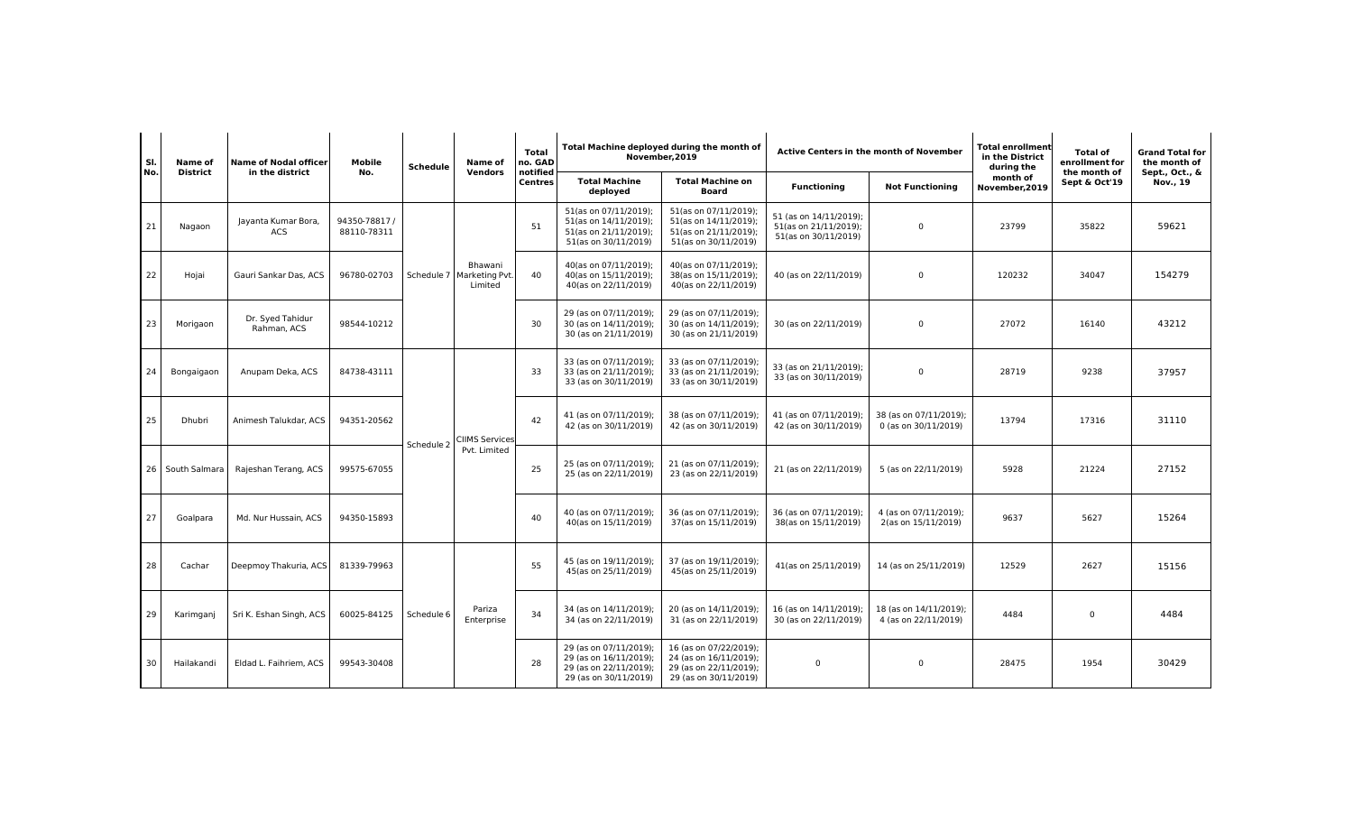| SI.<br>No.<br>District | Name of          | <b>Name of Nodal officer</b>      | Mobile                     | <b>Schedule</b>       | Name of                              | <b>Total</b><br>no. GAD    | Total Machine deployed during the month of<br>November, 2019                                        |                                                                                                     | <b>Active Centers in the month of November</b>                          |                                                | Total enrollment<br>in the District<br>during the | Total of<br>enrollment for    | <b>Grand Total for</b><br>the month of |
|------------------------|------------------|-----------------------------------|----------------------------|-----------------------|--------------------------------------|----------------------------|-----------------------------------------------------------------------------------------------------|-----------------------------------------------------------------------------------------------------|-------------------------------------------------------------------------|------------------------------------------------|---------------------------------------------------|-------------------------------|----------------------------------------|
|                        |                  | in the district                   | No.                        |                       | Vendors                              | notified<br><b>Centres</b> | <b>Total Machine</b><br>deployed                                                                    | <b>Total Machine on</b><br>Board                                                                    | <b>Functioning</b>                                                      | <b>Not Functioning</b>                         | month of<br>November, 2019                        | the month of<br>Sept & Oct'19 | Sept., Oct., &<br>Nov., 19             |
| 21                     | Nagaon           | Jayanta Kumar Bora,<br><b>ACS</b> | 94350-78817<br>88110-78311 |                       |                                      | 51                         | 51(as on 07/11/2019);<br>51(as on 14/11/2019);<br>51(as on 21/11/2019);<br>51(as on 30/11/2019)     | 51(as on 07/11/2019);<br>51(as on 14/11/2019);<br>51(as on 21/11/2019);<br>51(as on 30/11/2019)     | 51 (as on 14/11/2019);<br>51(as on 21/11/2019);<br>51(as on 30/11/2019) | $\mathbf 0$                                    | 23799                                             | 35822                         | 59621                                  |
| 22                     | Hojai            | Gauri Sankar Das, ACS             | 96780-02703                | Schedule 7            | Bhawani<br>Marketing Pvt.<br>Limited | 40                         | 40(as on 07/11/2019);<br>40(as on 15/11/2019);<br>40(as on 22/11/2019)                              | 40(as on 07/11/2019);<br>38(as on 15/11/2019);<br>40(as on 22/11/2019)                              | 40 (as on 22/11/2019)                                                   | $\mathbf 0$                                    | 120232                                            | 34047                         | 154279                                 |
| 23                     | Morigaon         | Dr. Syed Tahidur<br>Rahman, ACS   | 98544-10212                |                       |                                      | 30                         | 29 (as on 07/11/2019);<br>30 (as on 14/11/2019);<br>30 (as on 21/11/2019)                           | 29 (as on 07/11/2019);<br>30 (as on 14/11/2019);<br>30 (as on 21/11/2019)                           | 30 (as on 22/11/2019)                                                   | $\mathbf 0$                                    | 27072                                             | 16140                         | 43212                                  |
| 24                     | Bongaigaon       | Anupam Deka, ACS                  | 84738-43111                |                       |                                      | 33                         | 33 (as on 07/11/2019);<br>33 (as on 21/11/2019);<br>33 (as on 30/11/2019)                           | 33 (as on 07/11/2019);<br>33 (as on 21/11/2019);<br>33 (as on 30/11/2019)                           | 33 (as on 21/11/2019);<br>33 (as on 30/11/2019)                         | $\mathbf 0$                                    | 28719                                             | 9238                          | 37957                                  |
| 25                     | Dhubri           | Animesh Talukdar, ACS             | 94351-20562                | Schedule <sub>2</sub> | <b>CIIMS Services</b>                | 42                         | 41 (as on 07/11/2019);<br>42 (as on 30/11/2019)                                                     | 38 (as on 07/11/2019);<br>42 (as on 30/11/2019)                                                     | 41 (as on 07/11/2019);<br>42 (as on 30/11/2019)                         | 38 (as on 07/11/2019);<br>0 (as on 30/11/2019) | 13794                                             | 17316                         | 31110                                  |
|                        | 26 South Salmara | Rajeshan Terang, ACS              | 99575-67055                |                       | Pvt. Limited                         | 25                         | 25 (as on 07/11/2019);<br>25 (as on 22/11/2019)                                                     | 21 (as on 07/11/2019);<br>23 (as on 22/11/2019)                                                     | 21 (as on 22/11/2019)                                                   | 5 (as on 22/11/2019)                           | 5928                                              | 21224                         | 27152                                  |
| 27                     | Goalpara         | Md. Nur Hussain, ACS              | 94350-15893                |                       |                                      | 40                         | 40 (as on 07/11/2019);<br>40(as on 15/11/2019)                                                      | 36 (as on 07/11/2019);<br>37(as on 15/11/2019)                                                      | 36 (as on 07/11/2019);<br>38(as on 15/11/2019)                          | 4 (as on 07/11/2019);<br>2(as on 15/11/2019)   | 9637                                              | 5627                          | 15264                                  |
| 28                     | Cachar           | Deepmoy Thakuria, ACS             | 81339-79963                |                       |                                      | 55                         | 45 (as on 19/11/2019);<br>45(as on 25/11/2019)                                                      | 37 (as on 19/11/2019);<br>45(as on 25/11/2019)                                                      | 41(as on 25/11/2019)                                                    | 14 (as on 25/11/2019)                          | 12529                                             | 2627                          | 15156                                  |
| 29                     | Karimganj        | Sri K. Eshan Singh, ACS           | 60025-84125                | Schedule 6            | Pariza<br>Enterprise                 | 34                         | 34 (as on 14/11/2019);<br>34 (as on 22/11/2019)                                                     | 20 (as on 14/11/2019);<br>31 (as on 22/11/2019)                                                     | 16 (as on 14/11/2019);<br>30 (as on 22/11/2019)                         | 18 (as on 14/11/2019);<br>4 (as on 22/11/2019) | 4484                                              | $\Omega$                      | 4484                                   |
| 30 <sub>1</sub>        | Hailakandi       | Eldad L. Faihriem, ACS            | 99543-30408                |                       |                                      | 28                         | 29 (as on 07/11/2019);<br>29 (as on 16/11/2019);<br>29 (as on 22/11/2019);<br>29 (as on 30/11/2019) | 16 (as on 07/22/2019);<br>24 (as on 16/11/2019);<br>29 (as on 22/11/2019);<br>29 (as on 30/11/2019) | $\mathbf 0$                                                             | $\mathbf 0$                                    | 28475                                             | 1954                          | 30429                                  |